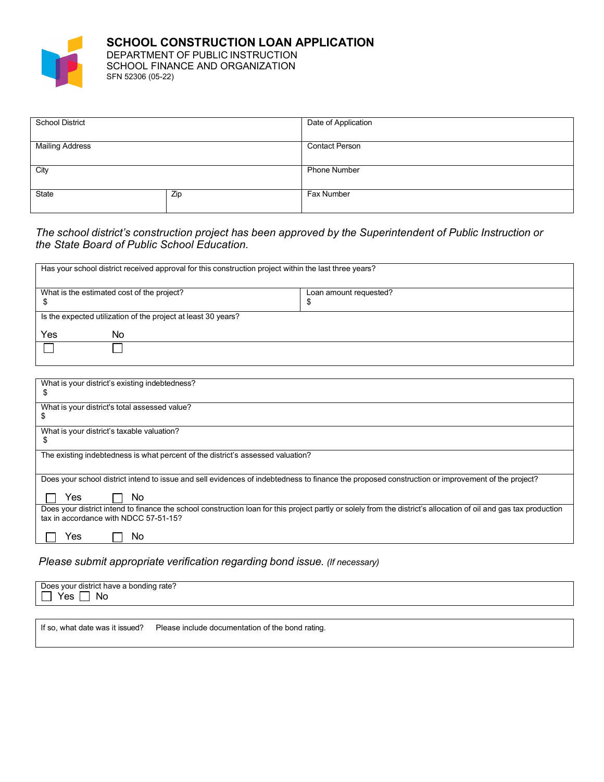

**SCHOOL CONSTRUCTION LOAN APPLICATION** DEPARTMENT OF PUBLIC INSTRUCTION SCHOOL FINANCE AND ORGANIZATION SFN 52306 (05-22)

| <b>School District</b> |     | Date of Application   |  |
|------------------------|-----|-----------------------|--|
|                        |     |                       |  |
|                        |     |                       |  |
|                        |     |                       |  |
|                        |     |                       |  |
| <b>Mailing Address</b> |     | <b>Contact Person</b> |  |
|                        |     |                       |  |
|                        |     |                       |  |
|                        |     |                       |  |
| City                   |     | <b>Phone Number</b>   |  |
|                        |     |                       |  |
|                        |     |                       |  |
|                        |     |                       |  |
|                        |     |                       |  |
| State                  | Zip | Fax Number            |  |
|                        |     |                       |  |
|                        |     |                       |  |
|                        |     |                       |  |

#### *The school district's construction project has been approved by the Superintendent of Public Instruction or the State Board of Public School Education.*

| Has your school district received approval for this construction project within the last three years? |                        |  |  |  |
|-------------------------------------------------------------------------------------------------------|------------------------|--|--|--|
| What is the estimated cost of the project?                                                            | Loan amount requested? |  |  |  |
|                                                                                                       |                        |  |  |  |
| Is the expected utilization of the project at least 30 years?                                         |                        |  |  |  |
| No<br>Yes                                                                                             |                        |  |  |  |
|                                                                                                       |                        |  |  |  |
|                                                                                                       |                        |  |  |  |

| What is your district's existing indebtedness?<br>S                                                                                                                                                       |
|-----------------------------------------------------------------------------------------------------------------------------------------------------------------------------------------------------------|
| What is your district's total assessed value?<br>ა                                                                                                                                                        |
| What is your district's taxable valuation?<br>S                                                                                                                                                           |
| The existing indebtedness is what percent of the district's assessed valuation?                                                                                                                           |
| Does your school district intend to issue and sell evidences of indebtedness to finance the proposed construction or improvement of the project?                                                          |
| Yes<br>No.                                                                                                                                                                                                |
| Does your district intend to finance the school construction loan for this project partly or solely from the district's allocation of oil and gas tax production<br>tax in accordance with NDCC 57-51-15? |
| Yes<br>No                                                                                                                                                                                                 |

#### *Please submit appropriate verification regarding bond issue. (If necessary)*

| ?onding rate<br>r district<br>have<br>Doe:<br>VOUL<br><b>NC</b><br>v. |
|-----------------------------------------------------------------------|
|-----------------------------------------------------------------------|

If so, what date was it issued? Please include documentation of the bond rating.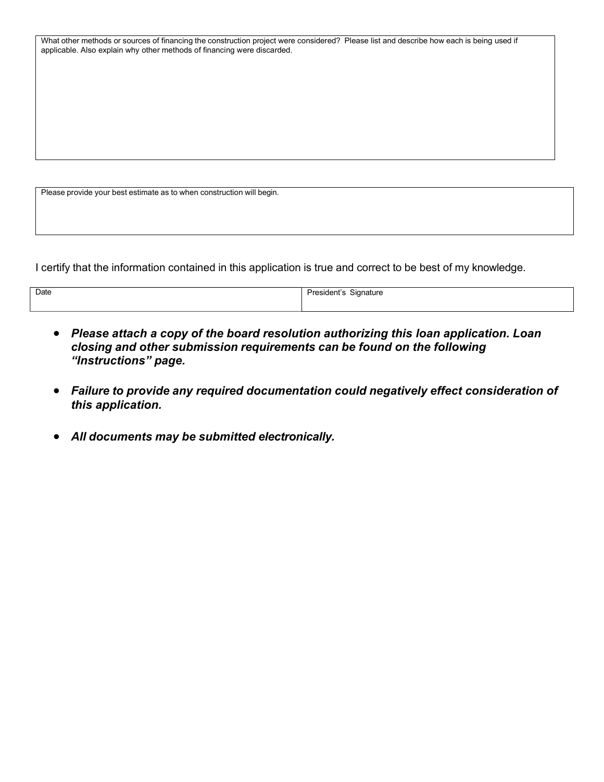What other methods or sources of financing the construction project were considered? Please list and describe how each is being used if applicable. Also explain why other methods of financing were discarded.

Please provide your best estimate as to when construction will begin.

I certify that the information contained in this application is true and correct to be best of my knowledge.

| Date | $\sim$<br>Signature<br>President's<br>$\cdot$ |
|------|-----------------------------------------------|
|      |                                               |

- *Please attach a copy of the board resolution authorizing this loan application. Loan closing and other submission requirements can be found on the following "Instructions" page.*
- *Failure to provide any required documentation could negatively effect consideration of this application.*
- *All documents may be submitted electronically.*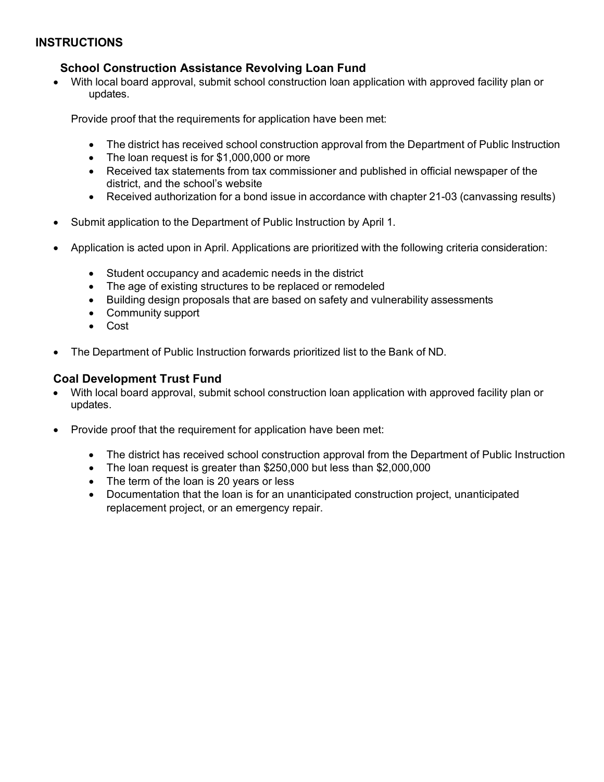## **INSTRUCTIONS**

## **School Construction Assistance Revolving Loan Fund**

• With local board approval, submit school construction loan application with approved facility plan or updates.

Provide proof that the requirements for application have been met:

- The district has received school construction approval from the Department of Public Instruction
- The loan request is for \$1,000,000 or more
- Received tax statements from tax commissioner and published in official newspaper of the district, and the school's website
- Received authorization for a bond issue in accordance with chapter 21-03 (canvassing results)
- Submit application to the Department of Public Instruction by April 1.
- Application is acted upon in April. Applications are prioritized with the following criteria consideration:
	- Student occupancy and academic needs in the district
	- The age of existing structures to be replaced or remodeled
	- Building design proposals that are based on safety and vulnerability assessments
	- Community support
	- Cost
- The Department of Public Instruction forwards prioritized list to the Bank of ND.

### **Coal Development Trust Fund**

- With local board approval, submit school construction loan application with approved facility plan or updates.
- Provide proof that the requirement for application have been met:
	- The district has received school construction approval from the Department of Public Instruction
	- The loan request is greater than \$250,000 but less than \$2,000,000
	- The term of the loan is 20 years or less
	- Documentation that the loan is for an unanticipated construction project, unanticipated replacement project, or an emergency repair.